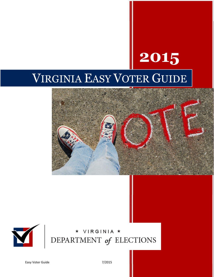# 2015 VIRGINIA EASY VOTER GUIDE





# DEPARTMENT of ELECTIONS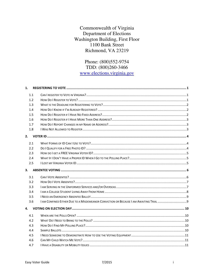#### Commonwealth of Virginia Department of Elections Washington Building, First Floor 1100 Bank Street Richmond, VA 23219

#### Phone: (800)552-9754 TDD: (800)260-3466 www.elections.virginia.gov

| 1.  |  |
|-----|--|
| 1.1 |  |
| 1.2 |  |
| 1.3 |  |
| 1.4 |  |
| 1.5 |  |
| 1.6 |  |
| 1.7 |  |
| 1.8 |  |
| 2.  |  |
| 2.1 |  |
| 2.2 |  |
| 2.3 |  |
| 2.4 |  |
| 2.5 |  |
|     |  |
|     |  |
| 3.1 |  |
| 3.2 |  |
| 3.3 |  |
| 3.4 |  |
| 3.5 |  |
| 3.6 |  |
| 4.  |  |
| 4.1 |  |
| 4.2 |  |
| 4.3 |  |
| 4.4 |  |
| 4.5 |  |
| 4.6 |  |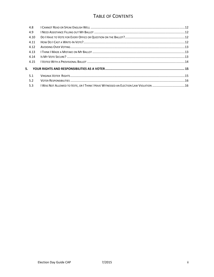# TABLE OF CONTENTS

| 4.8  |                                                                                     |  |  |  |
|------|-------------------------------------------------------------------------------------|--|--|--|
| 4.9  |                                                                                     |  |  |  |
| 4.10 |                                                                                     |  |  |  |
| 4.11 |                                                                                     |  |  |  |
| 4.12 |                                                                                     |  |  |  |
| 4.13 |                                                                                     |  |  |  |
| 4.14 |                                                                                     |  |  |  |
| 4.15 |                                                                                     |  |  |  |
| 5.   |                                                                                     |  |  |  |
| 5.1  |                                                                                     |  |  |  |
| 5.2  |                                                                                     |  |  |  |
| 5.3  | I WAS NOT ALLOWED TO VOTE, OR I THINK I HAVE WITNESSED AN ELECTION LAW VIOLATION 16 |  |  |  |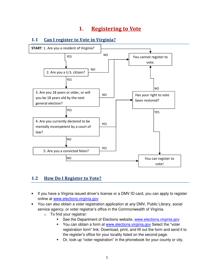# 1. Registering to Vote



#### 1.1 Can I register to Vote in Virginia?

#### 1.2 How Do I Register to Vote?

- If you have a Virginia issued driver's license or a DMV ID card, you can apply to register online at www.elections.virginia.gov
- You can also obtain a voter registration application at *any* DMV, Public Library, social service agency, or voter registrar's office in the Commonwealth of Virginia.
	- $\circ$  To find your registrar:
		- See the Department of Elections website, www.elections.virginia.gov
		- You can obtain a form at www.elections.virginia.gov Select the "voter registration form" link. Download, print, and fill out the form and send it to the register's office for your locality listed on the second page.
		- Or, look up "voter registration" in the phonebook for your county or city.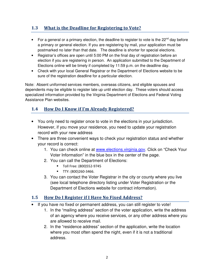#### 1.3 What is the Deadline for Registering to Vote?

- For a general or a primary election, the deadline to register to vote is the  $22^{nd}$  day before a primary or general election. If you are registering by mail, your application must be postmarked no later than that date. The deadline is shorter for special elections.
- Registrar's offices are open until 5:00 PM on the final day of registration before an election if you are registering in person. An application submitted to the Department of Elections online will be timely if completed by 11:59 p.m. on the deadline day.
- Check with your local General Registrar or the Department of Elections website to be sure of the registration deadline for a particular election.

Note: Absent uniformed services members, overseas citizens, and eligible spouses and dependents may be eligible to register late up until election day. These voters should access specialized information provided by the Virginia Department of Elections and Federal Voting Assistance Plan websites.

#### 1.4 How Do I Know if I'm Already Registered?

- You only need to register once to vote in the elections in your jurisdiction. However, if you move your residence, you need to update your registration record with your new address
- There are three convenient ways to check your registration status and whether your record is correct:
	- 1. You can check online at www.elections.virginia.gov. Click on "Check Your Voter Information" in the blue box in the center of the page.
	- 2. You can call the Department of Elections:
		- Toll Free: (800)552-9745
		- **TTY: (800)260-3466.**
	- 3. You can contact the Voter Registrar in the city or county where you live (see local telephone directory listing under Voter Registration or the Department of Elections website for contract information).

#### 1.5 How Do I Register if I Have No Fixed Address?

- If you have no fixed or permanent address, you can still register to vote!
	- 1. In the "mailing address" section of the voter application, write the address of an agency where you receive services, or any other address where you are allowed to receive mail.
	- 2. In the "residence address" section of the application, write the location where you most often spend the night, even if it is not a traditional address.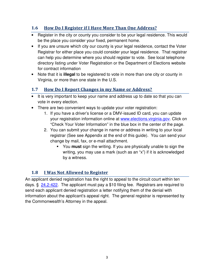#### 1.6 How Do I Register if I Have More Than One Address?

- Register in the city or county you consider to be your legal residence. This would be the place you consider your fixed, permanent home.
- If you are unsure which city our county is your legal residence, contact the Voter Registrar for either place you could consider your legal residence. That registrar can help you determine where you should register to vote. See local telephone directory listing under Voter Registration or the Department of Elections website for contract information
- Note that it is **illegal** to be registered to vote in more than one city or county in Virginia, or more than one state in the U.S.

## 1.7 How Do I Report Changes in my Name or Address?

- It is very important to keep your name and address up to date so that you can vote in every election.
- There are two convenient ways to update your voter registration:
	- 1. If you have a driver's license or a DMV-issued ID card, you can update your registration information online at www.elections.virginia.gov. Click on "Check Your Voter Information" in the blue box in the center of the page.
	- 2. You can submit your change in name or address in writing to your local registrar (See see Appendix at the end of this guide). You can send your change by mail, fax, or e-mail attachment.
		- You **must** sign the writing. If you are physically unable to sign the writing, you may use a mark (such as an "x") if it is acknowledged by a witness.

#### 1.8 I Was Not Allowed to Register

An applicant denied registration has the right to appeal to the circuit court within ten days. § 24.2-422. The applicant must pay a \$10 filing fee. Registrars are required to send each applicant denied registration a letter notifying them of the denial with information about the applicant's appeal right. The general registrar is represented by the Commonwealth's Attorney in the appeal.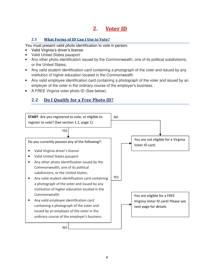# 2. Voter ID

#### 2.1 What Forms of ID Can I Use to Vote?

You must present valid *photo* identification to vote in person:

- Valid Virginia's driver's license
- Valid United States passport
- Any other photo identification issued by the Commonwealth, one of its political subdivisions, or the United States;
- Any valid student identification card containing a photograph of the voter and issued by any institution of higher education located in the Commonwealth
- Any valid employee identification card containing a photograph of the voter and issued by an employer of the voter in the ordinary course of the employer's business.
- A FREE Virginia voter photo ID (See below).

# 2.2 Do I Qualify for a Free Photo ID?

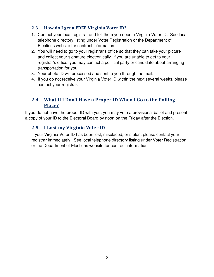#### 2.3 How do I get a FREE Virginia Voter ID?

- 1. Contact your local registrar and tell them you need a Virginia Voter ID. See local telephone directory listing under Voter Registration or the Department of Elections website for contract information.
- 2. You will need to go to your registrar's office so that they can take your picture and collect your signature electronically. If you are unable to get to your registrar's office, you may contact a political party or candidate about arranging transportation for you.
- 3. Your photo ID will processed and sent to you through the mail.
- 4. If you do not receive your Virginia Voter ID within the next several weeks, please contact your registrar.

### 2.4 What If I Don't Have a Proper ID When I Go to the Polling Place?

If you do not have the proper ID with you, you may vote a provisional ballot and present a copy of your ID to the Electoral Board by noon on the Friday after the Election.

# 2.5 **I** Lost my Virginia Voter ID

If your Virginia Voter ID has been lost, misplaced, or stolen, please contact your registrar immediately. See local telephone directory listing under Voter Registration or the Department of Elections website for contract information.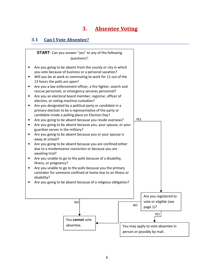# 3. Absentee Voting

#### 3.1 Can I Vote Absentee?

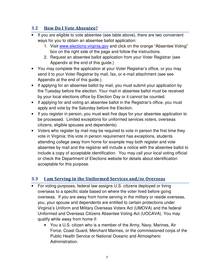#### 3.2 How Do I Vote Absentee?

- If you are eligible to vote absentee (see table above), there are two convenient ways for you to obtain an absentee ballot application:
	- 1. Visit www.elections.virginia.gov and click on the orange "Absentee Voting" box on the right side of the page and follow the instructions.
	- 2. Request an absentee ballot application from your Voter Registrar (see Appendix at the end of this guide.)
- You may complete the application at your Voter Registrar's office, or you may send it to your Voter Registrar by mail, fax, or e-mail attachment (see see Appendix at the end of this guide.).
- If applying for an absentee ballot by mail, you must submit your application by the Tuesday before the election. Your mail-in absentee ballot must be received by your local elections office by Election Day or it cannot be counted.
- If applying for and voting an absentee ballot in the Registrar's office, you must apply and vote by the Saturday before the Election.
- If you register in person, you must wait five days for your absentee application to be processed. Limited exceptions for uniformed services voters, overseas citizens, eligible spouses and dependents).
- Voters who register by mail may be required to vote in person the first time they vote in Virginia; this vote in person requirement has exceptions, students attending college away from home for example may both register and vote absentee by mail and the registrar will include a notice with the absentee ballot to include a copy of acceptable identification. You may call your local voting official or check the Department of Elections website for details about identification acceptable for this purpose.

#### 3.3 **Lam Serving in the Uniformed Services and/or Overseas**

- For voting purposes, federal law assigns U.S. citizens deployed or living overseas to a specific state based on where the voter lived before going overseas. If you are away from home serving in the military or reside overseas, you, your spouse and dependents are entitled to certain protections under Virginia's Uniform and Military Overseas Voters Act (UMOVA) and the federal Uniformed and Overseas Citizens Absentee Voting Act (UOCAVA). You may qualify while away from home if:
	- You a U.S. citizen who is a member of the Army, Navy, Marines, Air Force, Coast Guard, Merchant Marines, or the commissioned corps of the Public Health Service or National Oceanic and Atmospheric Administration.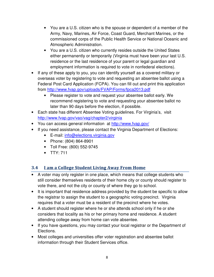- You are a U.S. citizen who is the spouse or dependent of a member of the Army, Navy, Marines, Air Force, Coast Guard, Merchant Marines, or the commissioned corps of the Public Health Service or National Oceanic and Atmospheric Administration.
- You are a U.S. citizen who currently resides outside the United States either permanently or temporarily (Virginia must have been your last U.S. residence or the last residence of your parent or legal guardian and employment information is required to vote in nonfederal elections).
- If any of these apply to you, you can identify yourself as a covered military or overseas voter by registering to vote and requesting an absentee ballot using a Federal Post Card Application (FCPA). You can fill out and print this application from http://www.fvap.gov/uploads/FVAP/Forms/fpca2013.pdf
	- Please register to vote and request your absentee ballot early. We recommend registering to vote and requesting your absentee ballot no later than 90 days before the election, if possible.
- Each state has different Absentee Voting guidelines. For Virginia's, visit http://www.fvap.gov/vao/vag/chapter2/virginia
- You can access general information at http://www.fvap.gov/
- If you need assistance, please contact the Virginia Department of Elections:
	- E-mail: info@elections.virginia.gov
	- Phone: (804) 864-8901
	- Toll Free: (800) 552-9745
	- TTY: 711

# 3.4 I am a College Student Living Away From Home

- A voter may only register in one place, which means that college students who still consider themselves residents of their home city or county should register to vote there, and not the city or county of where they go to school.
- It is important that residence address provided by the student be specific to allow the registrar to assign the student to a geographic voting precinct. Virginia requires that a voter must be a resident of the precinct where he votes.
- A student should register where he or she attends school only if he or she considers that locality as his or her primary home and residence. A student attending college away from home can vote absentee.
- If you have questions, you may contact your local registrar or the Department of Elections.
- Most colleges and universities offer voter registration and absentee ballot information through their Student Services office.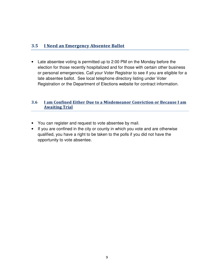#### 3.5 I Need an Emergency Absentee Ballot

• Late absentee voting is permitted up to 2:00 PM on the Monday before the election for those recently hospitalized and for those with certain other business or personal emergencies. Call your Voter Registrar to see if you are eligible for a late absentee ballot. See local telephone directory listing under Voter Registration or the Department of Elections website for contract information.

#### 3.6 I am Confined Either Due to a Misdemeanor Conviction or Because I am **Awaiting Trial**

- You can register and request to vote absentee by mail.
- If you are confined in the city or county in which you vote and are otherwise qualified, you have a right to be taken to the polls if you did not have the opportunity to vote absentee.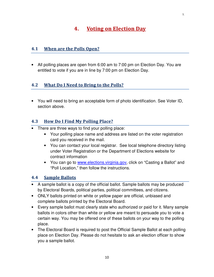# 4. Voting on Election Day

#### 4.1 When are the Polls Open?

• All polling places are open from 6:00 am to 7:00 pm on Election Day. You are entitled to vote if you are in line by 7:00 pm on Election Day.

#### 4.2 What Do I Need to Bring to the Polls?

• You will need to bring an acceptable form of photo identification. See Voter ID, section above.

#### 4.3 How Do I Find My Polling Place?

- There are three ways to find your polling place:
	- Your polling place name and address are listed on the voter registration card you received in the mail.
	- You can contact your local registrar. See local telephone directory listing under Voter Registration or the Department of Elections website for contract information
	- You can go to www.elections.virginia.gov, click on "Casting a Ballot" and "Poll Location," then follow the instructions.

#### 4.4 Sample Ballots

- A sample ballot is a copy of the official ballot. Sample ballots may be produced by Electoral Boards, political parties, political committees, and citizens.
- ONLY ballots printed on white or yellow paper are official, unbiased and complete ballots printed by the Electoral Board.
- Every sample ballot must clearly state who authorized or paid for it. Many sample ballots in colors other than white or yellow are meant to persuade you to vote a certain way. You may be offered one of these ballots on your way to the polling place.
- The Electoral Board is required to post the Official Sample Ballot at each polling place on Election Day. Please do not hesitate to ask an election officer to show you a sample ballot.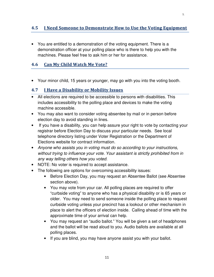#### 4.5 I Need Someone to Demonstrate How to Use the Voting Equipment

• You are entitled to a demonstration of the voting equipment. There is a demonstration officer at your polling place who is there to help you with the machines. Please feel free to ask him or her for assistance.

#### 4.6 Can My Child Watch Me Vote?

• Your minor child, 15 years or younger, may go with you into the voting booth.

#### 4.7 I Have a Disability or Mobility Issues

- All elections are required to be accessible to persons with disabilities. This includes accessibility to the polling place and devices to make the voting machine accessible.
- You may also want to consider voting absentee by mail or in person before election day to avoid standing in lines.
- If you have a disability, you can help assure your right to vote by contacting your registrar before Election Day to discuss your particular needs. See local telephone directory listing under Voter Registration or the Department of Elections website for contract information.
- Anyone who assists you in voting must do so according to your instructions, without trying to influence your vote. Your assistant is strictly prohibited from in any way telling others how you voted.
- NOTE: No voter is required to accept assistance.
- The following are options for overcoming accessibility issues:
	- Before Election Day, you may request an Absentee Ballot (see Absentee section above).
	- You may vote from your car. All polling places are required to offer "curbside voting" to anyone who has a physical disability or is 65 years or older. You may need to send someone inside the polling place to request curbside voting unless your precinct has a lookout or other mechanism in place to alert the officers of election inside. Calling ahead of time with the approximate time of your arrival can help.
	- You may request an "audio ballot." You will be given a set of headphones and the ballot will be read aloud to you. Audio ballots are available at all polling places.
	- If you are blind, you may have anyone assist you with your ballot.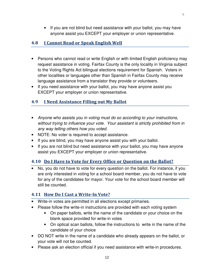• If you are not blind but need assistance with your ballot, you may have anyone assist you EXCEPT your employer or union representative.

#### 4.8 I Cannot Read or Speak English Well

- Persons who cannot read or write English or with limited English proficiency may request assistance in voting. Fairfax County is the only locality in Virginia subject to the Voting Rights Act bilingual elections requirement for Spanish. Voters in other localities or languages other than Spanish in Fairfax County may receive language assistance from a translator they provide or volunteers.
- If you need assistance with your ballot, you may have anyone assist you EXCEPT your employer or union representative.

#### 4.9 I Need Assistance Filling out My Ballot

- Anyone who assists you in voting must do so according to your instructions, without trying to influence your vote. Your assistant is strictly prohibited from in any way telling others how you voted.
- NOTE: No voter is required to accept assistance.
- If you are blind, you may have anyone assist you with your ballot.
- If you are not blind but need assistance with your ballot, you may have anyone assist you EXCEPT your employer or union representative.

#### 4.10 Do I Have to Vote for Every Office or Question on the Ballot?

• No, you do not have to vote for every question on the ballot. For instance, if you are only interested in voting for a school board member, you do not have to vote for any of the candidates for mayor. Your vote for the school board member will still be counted.

#### 4.11 How Do I Cast a Write-In Vote?

- Write-in votes are permitted in all elections except primaries.
- Please follow the write-in instructions are provided with each voting system
	- On paper ballots, write the name of the candidate or your choice on the blank space provided for write-in votes
	- On optical scan ballots, follow the instructions to write in the name of the candidate of your choice
- DO NOT write in the name of a candidate who already appears on the ballot, or your vote will not be counted.
- Please ask an election official if you need assistance with write-in procedures.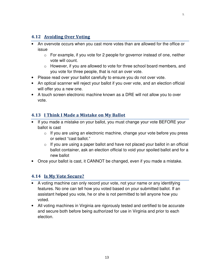#### 4.12 Avoiding Over Voting

- An overvote occurs when you cast more votes than are allowed for the office or issue
	- o For example, if you vote for 2 people for governor instead of one, neither vote will count.
	- o However, if you are allowed to vote for three school board members, and you vote for three people, that is not an over vote.
- Please read over your ballot carefully to ensure you do not over vote.
- An optical scanner will reject your ballot if you over vote, and an election official will offer you a new one.
- A touch screen electronic machine known as a DRE will not allow you to over vote.

#### 4.13 I Think I Made a Mistake on My Ballot

- If you made a mistake on your ballot, you must change your vote BEFORE your ballot is cast
	- $\circ$  If you are using an electronic machine, change your vote before you press or select "cast ballot."
	- $\circ$  If you are using a paper ballot and have not placed your ballot in an official ballot container, ask an election official to void your spoiled ballot and for a new ballot
- Once your ballot is cast, it CANNOT be changed, even if you made a mistake.

#### 4.14 Is My Vote Secure?

- A voting machine can only record your vote, not your name or any identifying features. No one can tell how you voted based on your submitted ballot. If an assistant helped you vote, he or she is not permitted to tell anyone how you voted.
- All voting machines in Virginia are rigorously tested and certified to be accurate and secure both before being authorized for use in Virginia and prior to each election.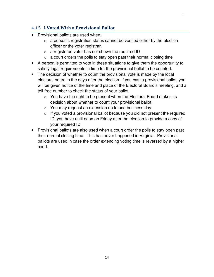#### 4.15 I Voted With a Provisional Ballot

- Provisional ballots are used when:
	- $\circ$  a person's registration status cannot be verified either by the election officer or the voter registrar.
	- $\circ$  a registered voter has not shown the required ID
	- $\circ$  a court orders the polls to stay open past their normal closing time
- A person is permitted to vote in these situations to give them the opportunity to satisfy legal requirements in time for the provisional ballot to be counted.
- The decision of whether to count the provisional vote is made by the local electoral board in the days after the election. If you cast a provisional ballot, you will be given notice of the time and place of the Electoral Board's meeting, and a toll-free number to check the status of your ballot.
	- $\circ$  You have the right to be present when the Electoral Board makes its decision about whether to count your provisional ballot.
	- $\circ$  You may request an extension up to one business day
	- $\circ$  If you voted a provisional ballot because you did not present the required ID, you have until noon on Friday after the election to provide a copy of your required ID.
- Provisional ballots are also used when a court order the polls to stay open past their normal closing time. This has never happened in Virginia. Provisional ballots are used in case the order extending voting time is reversed by a higher court.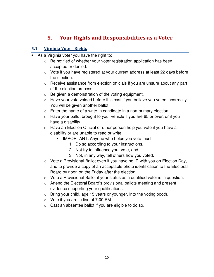# 5. Your Rights and Responsibilities as a Voter

#### 5.1 Virginia Voter Rights

- As a Virginia voter you have the right to:
	- $\circ$  Be notified of whether your voter registration application has been accepted or denied.
	- o Vote if you have registered at your current address at least 22 days before the election.
	- $\circ$  Receive assistance from election officials if you are unsure about any part of the election process.
	- $\circ$  Be given a demonstration of the voting equipment.
	- o Have your vote voided before it is cast if you believe you voted incorrectly. You will be given another ballot.
	- $\circ$  Enter the name of a write-in candidate in a non-primary election.
	- $\circ$  Have your ballot brought to your vehicle if you are 65 or over, or if you have a disability.
	- o Have an Election Official or other person help you vote if you have a disability or are unable to read or write.
		- **IMPORTANT: Anyone who helps you vote must:** 
			- 1. Do so according to your instructions,
			- 2. Not try to influence your vote, and
			- 3. Not, in any way, tell others how you voted.
	- $\circ$  Vote a Provisional Ballot even if you have no ID with you on Election Day, and to provide a copy of an acceptable photo identification to the Electoral Board by noon on the Friday after the election.
	- o Vote a Provisional Ballot if your status as a qualified voter is in question.
	- o Attend the Electoral Board's provisional ballots meeting and present evidence supporting your qualifications.
	- $\circ$  Bring your child, age 15 years or younger, into the voting booth.
	- $\circ$  Vote if you are in line at 7:00 PM
	- $\circ$  Cast an absentee ballot if you are eligible to do so.